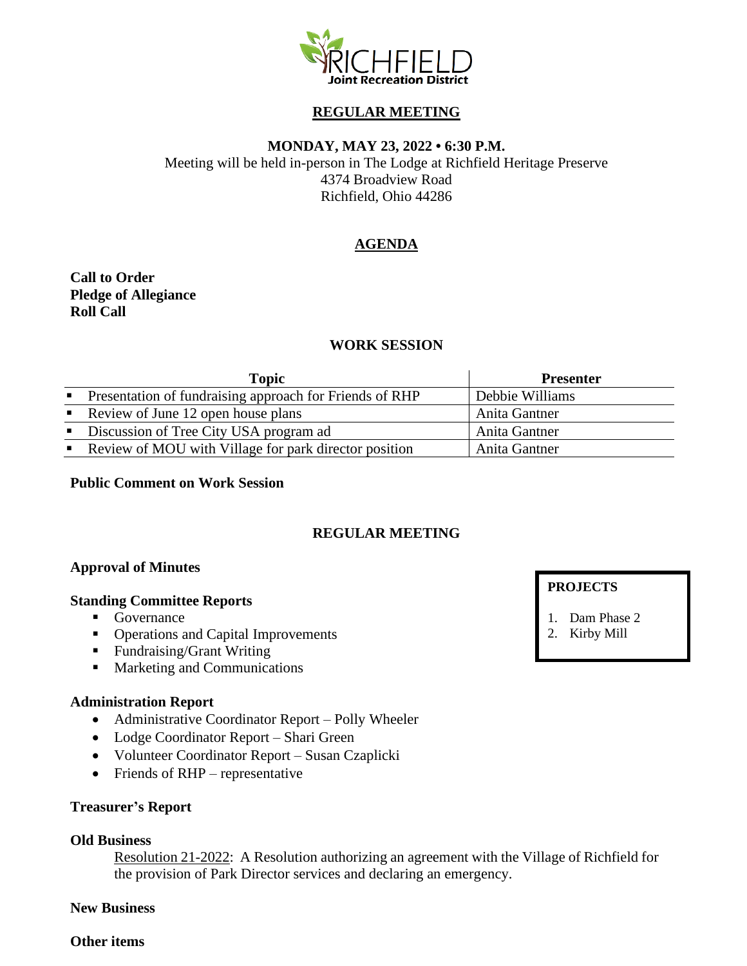

# **REGULAR MEETING**

### **MONDAY, MAY 23, 2022 • 6:30 P.M.**

Meeting will be held in-person in The Lodge at Richfield Heritage Preserve 4374 Broadview Road Richfield, Ohio 44286

# **AGENDA**

**Call to Order Pledge of Allegiance Roll Call**

## **WORK SESSION**

|                           | <b>Topic</b>                                            | <b>Presenter</b> |
|---------------------------|---------------------------------------------------------|------------------|
| $\mathbf{R}$              | Presentation of fundraising approach for Friends of RHP | Debbie Williams  |
|                           | Review of June 12 open house plans                      | Anita Gantner    |
| $\mathbf{H}^{\text{max}}$ | Discussion of Tree City USA program ad                  | Anita Gantner    |
|                           | Review of MOU with Village for park director position   | Anita Gantner    |

**Public Comment on Work Session**

# **REGULAR MEETING**

### **Approval of Minutes**

#### **Standing Committee Reports**

- Governance
- Operations and Capital Improvements
- Fundraising/Grant Writing
- Marketing and Communications

#### **Administration Report**

- Administrative Coordinator Report Polly Wheeler
- Lodge Coordinator Report Shari Green
- Volunteer Coordinator Report Susan Czaplicki
- Friends of RHP representative

#### **Treasurer's Report**

#### **Old Business**

Resolution 21-2022: A Resolution authorizing an agreement with the Village of Richfield for the provision of Park Director services and declaring an emergency.

### **New Business**

#### **Other items**

### **PROJECTS**

- 1. Dam Phase 2
- 2. Kirby Mill